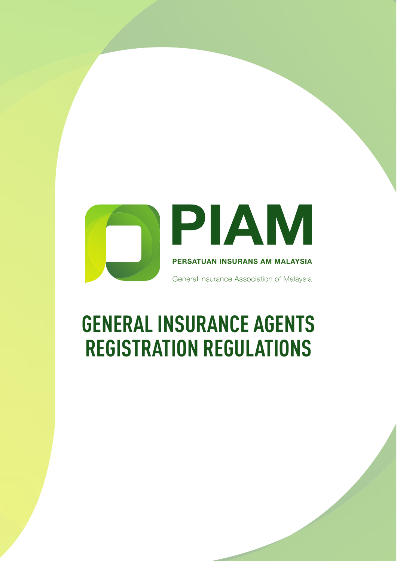



General Insurance Association of Malaysia

# **GENERAL INSURANCE AGENTS REGISTRATION REGULATIONS**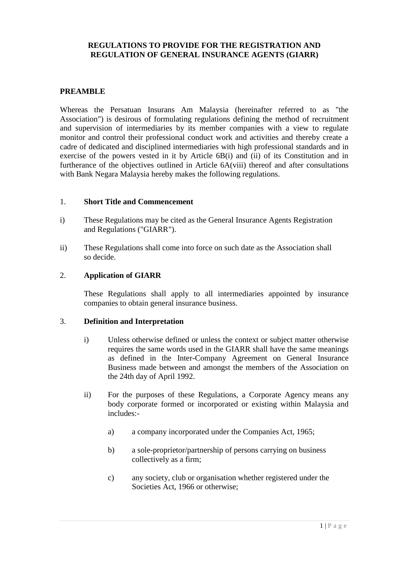## **REGULATIONS TO PROVIDE FOR THE REGISTRATION AND REGULATION OF GENERAL INSURANCE AGENTS (GIARR)**

#### **PREAMBLE**

Whereas the Persatuan Insurans Am Malaysia (hereinafter referred to as "the Association") is desirous of formulating regulations defining the method of recruitment and supervision of intermediaries by its member companies with a view to regulate monitor and control their professional conduct work and activities and thereby create a cadre of dedicated and disciplined intermediaries with high professional standards and in exercise of the powers vested in it by Article 6B(i) and (ii) of its Constitution and in furtherance of the objectives outlined in Article 6A(viii) thereof and after consultations with Bank Negara Malaysia hereby makes the following regulations.

#### 1. **Short Title and Commencement**

- i) These Regulations may be cited as the General Insurance Agents Registration and Regulations ("GIARR").
- ii) These Regulations shall come into force on such date as the Association shall so decide.

#### 2. **Application of GIARR**

These Regulations shall apply to all intermediaries appointed by insurance companies to obtain general insurance business.

#### 3. **Definition and Interpretation**

- i) Unless otherwise defined or unless the context or subject matter otherwise requires the same words used in the GIARR shall have the same meanings as defined in the Inter-Company Agreement on General Insurance Business made between and amongst the members of the Association on the 24th day of April 1992.
- ii) For the purposes of these Regulations, a Corporate Agency means any body corporate formed or incorporated or existing within Malaysia and includes:
	- a) a company incorporated under the Companies Act, 1965;
	- b) a sole-proprietor/partnership of persons carrying on business collectively as a firm;
	- c) any society, club or organisation whether registered under the Societies Act, 1966 or otherwise;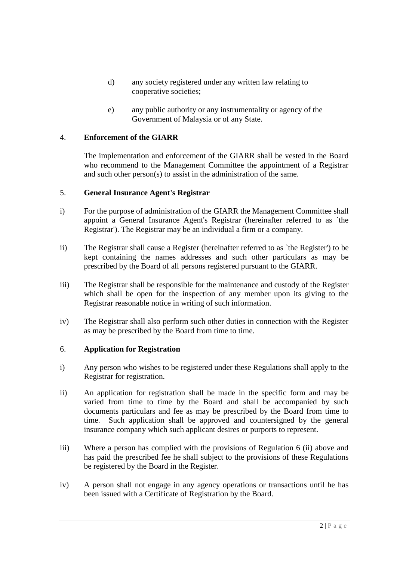- d) any society registered under any written law relating to cooperative societies;
- e) any public authority or any instrumentality or agency of the Government of Malaysia or of any State.

# 4. **Enforcement of the GIARR**

The implementation and enforcement of the GIARR shall be vested in the Board who recommend to the Management Committee the appointment of a Registrar and such other person(s) to assist in the administration of the same.

#### 5. **General Insurance Agent's Registrar**

- i) For the purpose of administration of the GIARR the Management Committee shall appoint a General Insurance Agent's Registrar (hereinafter referred to as `the Registrar'). The Registrar may be an individual a firm or a company.
- ii) The Registrar shall cause a Register (hereinafter referred to as `the Register') to be kept containing the names addresses and such other particulars as may be prescribed by the Board of all persons registered pursuant to the GIARR.
- iii) The Registrar shall be responsible for the maintenance and custody of the Register which shall be open for the inspection of any member upon its giving to the Registrar reasonable notice in writing of such information.
- iv) The Registrar shall also perform such other duties in connection with the Register as may be prescribed by the Board from time to time.

#### 6. **Application for Registration**

- i) Any person who wishes to be registered under these Regulations shall apply to the Registrar for registration.
- ii) An application for registration shall be made in the specific form and may be varied from time to time by the Board and shall be accompanied by such documents particulars and fee as may be prescribed by the Board from time to time. Such application shall be approved and countersigned by the general insurance company which such applicant desires or purports to represent.
- iii) Where a person has complied with the provisions of Regulation 6 (ii) above and has paid the prescribed fee he shall subject to the provisions of these Regulations be registered by the Board in the Register.
- iv) A person shall not engage in any agency operations or transactions until he has been issued with a Certificate of Registration by the Board.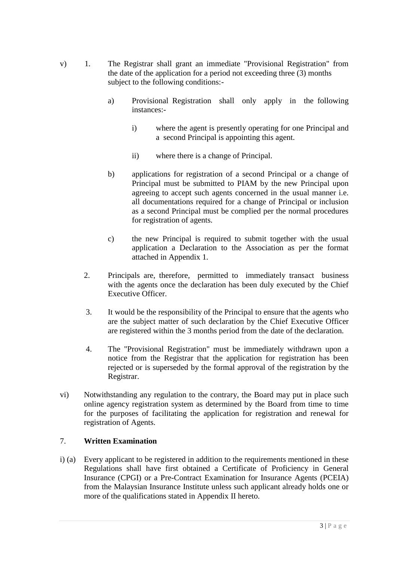- v) 1. The Registrar shall grant an immediate "Provisional Registration" from the date of the application for a period not exceeding three (3) months subject to the following conditions:
	- a) Provisional Registration shall only apply in the following instances:
		- i) where the agent is presently operating for one Principal and a second Principal is appointing this agent.
		- ii) where there is a change of Principal.
	- b) applications for registration of a second Principal or a change of Principal must be submitted to PIAM by the new Principal upon agreeing to accept such agents concerned in the usual manner i.e. all documentations required for a change of Principal or inclusion as a second Principal must be complied per the normal procedures for registration of agents.
	- c) the new Principal is required to submit together with the usual application a Declaration to the Association as per the format attached in Appendix 1.
	- 2. Principals are, therefore, permitted to immediately transact business with the agents once the declaration has been duly executed by the Chief Executive Officer.
	- 3. It would be the responsibility of the Principal to ensure that the agents who are the subject matter of such declaration by the Chief Executive Officer are registered within the 3 months period from the date of the declaration.
	- 4. The "Provisional Registration" must be immediately withdrawn upon a notice from the Registrar that the application for registration has been rejected or is superseded by the formal approval of the registration by the Registrar.
- vi) Notwithstanding any regulation to the contrary, the Board may put in place such online agency registration system as determined by the Board from time to time for the purposes of facilitating the application for registration and renewal for registration of Agents.

# 7. **Written Examination**

i) (a) Every applicant to be registered in addition to the requirements mentioned in these Regulations shall have first obtained a Certificate of Proficiency in General Insurance (CPGI) or a Pre-Contract Examination for Insurance Agents (PCEIA) from the Malaysian Insurance Institute unless such applicant already holds one or more of the qualifications stated in Appendix II hereto.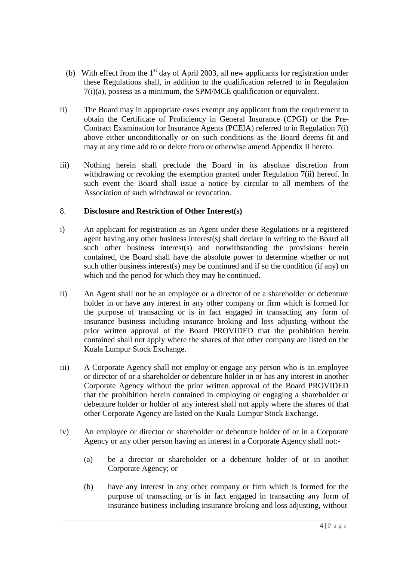- (b) With effect from the  $1<sup>st</sup>$  day of April 2003, all new applicants for registration under these Regulations shall, in addition to the qualification referred to in Regulation 7(i)(a), possess as a minimum, the SPM/MCE qualification or equivalent.
- ii) The Board may in appropriate cases exempt any applicant from the requirement to obtain the Certificate of Proficiency in General Insurance (CPGI) or the Pre-Contract Examination for Insurance Agents (PCEIA) referred to in Regulation 7(i) above either unconditionally or on such conditions as the Board deems fit and may at any time add to or delete from or otherwise amend Appendix II hereto.
- iii) Nothing herein shall preclude the Board in its absolute discretion from withdrawing or revoking the exemption granted under Regulation 7(ii) hereof. In such event the Board shall issue a notice by circular to all members of the Association of such withdrawal or revocation.

## 8. **Disclosure and Restriction of Other Interest(s)**

- i) An applicant for registration as an Agent under these Regulations or a registered agent having any other business interest(s) shall declare in writing to the Board all such other business interest(s) and notwithstanding the provisions herein contained, the Board shall have the absolute power to determine whether or not such other business interest(s) may be continued and if so the condition (if any) on which and the period for which they may be continued.
- ii) An Agent shall not be an employee or a director of or a shareholder or debenture holder in or have any interest in any other company or firm which is formed for the purpose of transacting or is in fact engaged in transacting any form of insurance business including insurance broking and loss adjusting without the prior written approval of the Board PROVIDED that the prohibition herein contained shall not apply where the shares of that other company are listed on the Kuala Lumpur Stock Exchange.
- iii) A Corporate Agency shall not employ or engage any person who is an employee or director of or a shareholder or debenture holder in or has any interest in another Corporate Agency without the prior written approval of the Board PROVIDED that the prohibition herein contained in employing or engaging a shareholder or debenture holder or holder of any interest shall not apply where the shares of that other Corporate Agency are listed on the Kuala Lumpur Stock Exchange.
- iv) An employee or director or shareholder or debenture holder of or in a Corporate Agency or any other person having an interest in a Corporate Agency shall not:-
	- (a) be a director or shareholder or a debenture holder of or in another Corporate Agency; or
	- (b) have any interest in any other company or firm which is formed for the purpose of transacting or is in fact engaged in transacting any form of insurance business including insurance broking and loss adjusting, without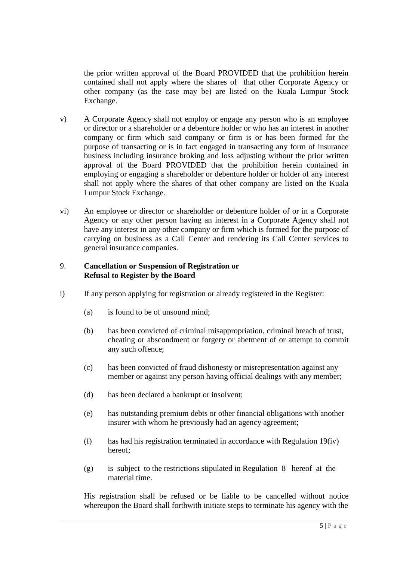the prior written approval of the Board PROVIDED that the prohibition herein contained shall not apply where the shares of that other Corporate Agency or other company (as the case may be) are listed on the Kuala Lumpur Stock Exchange.

- v) A Corporate Agency shall not employ or engage any person who is an employee or director or a shareholder or a debenture holder or who has an interest in another company or firm which said company or firm is or has been formed for the purpose of transacting or is in fact engaged in transacting any form of insurance business including insurance broking and loss adjusting without the prior written approval of the Board PROVIDED that the prohibition herein contained in employing or engaging a shareholder or debenture holder or holder of any interest shall not apply where the shares of that other company are listed on the Kuala Lumpur Stock Exchange.
- vi) An employee or director or shareholder or debenture holder of or in a Corporate Agency or any other person having an interest in a Corporate Agency shall not have any interest in any other company or firm which is formed for the purpose of carrying on business as a Call Center and rendering its Call Center services to general insurance companies.

## 9. **Cancellation or Suspension of Registration or Refusal to Register by the Board**

- i) If any person applying for registration or already registered in the Register:
	- (a) is found to be of unsound mind;
	- (b) has been convicted of criminal misappropriation, criminal breach of trust, cheating or abscondment or forgery or abetment of or attempt to commit any such offence;
	- (c) has been convicted of fraud dishonesty or misrepresentation against any member or against any person having official dealings with any member;
	- (d) has been declared a bankrupt or insolvent;
	- (e) has outstanding premium debts or other financial obligations with another insurer with whom he previously had an agency agreement;
	- $(f)$  has had his registration terminated in accordance with Regulation 19(iv) hereof;
	- (g) is subject to the restrictions stipulated in Regulation 8 hereof at the material time.

His registration shall be refused or be liable to be cancelled without notice whereupon the Board shall forthwith initiate steps to terminate his agency with the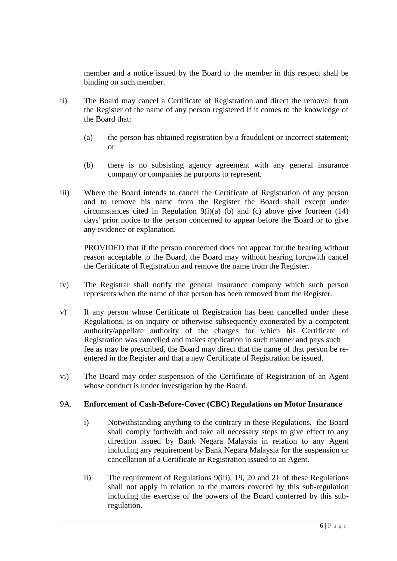member and a notice issued by the Board to the member in this respect shall be binding on such member.

- ii) The Board may cancel a Certificate of Registration and direct the removal from the Register of the name of any person registered if it comes to the knowledge of the Board that:
	- (a) the person has obtained registration by a fraudulent or incorrect statement; or
	- (b) there is no subsisting agency agreement with any general insurance company or companies he purports to represent.
- iii) Where the Board intends to cancel the Certificate of Registration of any person and to remove his name from the Register the Board shall except under circumstances cited in Regulation  $9(i)(a)$  (b) and (c) above give fourteen (14) days' prior notice to the person concerned to appear before the Board or to give any evidence or explanation.

PROVIDED that if the person concerned does not appear for the hearing without reason acceptable to the Board, the Board may without hearing forthwith cancel the Certificate of Registration and remove the name from the Register.

- iv) The Registrar shall notify the general insurance company which such person represents when the name of that person has been removed from the Register.
- v) If any person whose Certificate of Registration has been cancelled under these Regulations, is on inquiry or otherwise subsequently exonerated by a competent authority/appellate authority of the charges for which his Certificate of Registration was cancelled and makes application in such manner and pays such fee as may be prescribed, the Board may direct that the name of that person be reentered in the Register and that a new Certificate of Registration be issued.
- vi) The Board may order suspension of the Certificate of Registration of an Agent whose conduct is under investigation by the Board.

# 9A. **Enforcement of Cash-Before-Cover (CBC) Regulations on Motor Insurance**

- i) Notwithstanding anything to the contrary in these Regulations, the Board shall comply forthwith and take all necessary steps to give effect to any direction issued by Bank Negara Malaysia in relation to any Agent including any requirement by Bank Negara Malaysia for the suspension or cancellation of a Certificate or Registration issued to an Agent.
- ii) The requirement of Regulations 9(iii), 19, 20 and 21 of these Regulations shall not apply in relation to the matters covered by this sub-regulation including the exercise of the powers of the Board conferred by this subregulation.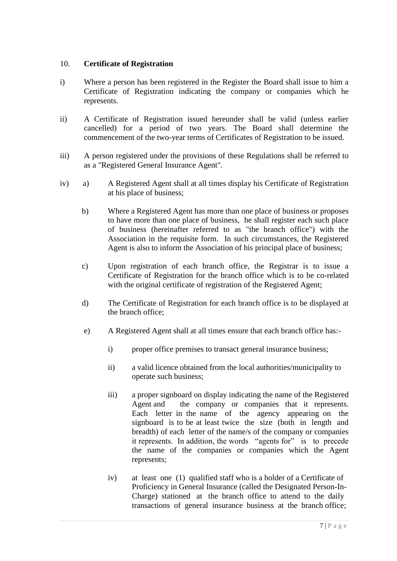## 10. **Certificate of Registration**

- i) Where a person has been registered in the Register the Board shall issue to him a Certificate of Registration indicating the company or companies which he represents.
- ii) A Certificate of Registration issued hereunder shall be valid (unless earlier cancelled) for a period of two years. The Board shall determine the commencement of the two-year terms of Certificates of Registration to be issued.
- iii) A person registered under the provisions of these Regulations shall be referred to as a "Registered General Insurance Agent".
- iv) a) A Registered Agent shall at all times display his Certificate of Registration at his place of business;
	- b) Where a Registered Agent has more than one place of business or proposes to have more than one place of business, he shall register each such place of business (hereinafter referred to as "the branch office") with the Association in the requisite form. In such circumstances, the Registered Agent is also to inform the Association of his principal place of business;
	- c) Upon registration of each branch office, the Registrar is to issue a Certificate of Registration for the branch office which is to be co-related with the original certificate of registration of the Registered Agent;
	- d) The Certificate of Registration for each branch office is to be displayed at the branch office;
	- e) A Registered Agent shall at all times ensure that each branch office has:
		- i) proper office premises to transact general insurance business;
		- ii) a valid licence obtained from the local authorities/municipality to operate such business;
		- iii) a proper signboard on display indicating the name of the Registered Agent and the company or companies that it represents. Each letter in the name of the agency appearing on the signboard is to be at least twice the size (both in length and breadth) of each letter of the name/s of the company or companies it represents. In addition, the words "agents for" is to precede the name of the companies or companies which the Agent represents;
		- iv) at least one (1) qualified staff who is a holder of a Certificate of Proficiency in General Insurance (called the Designated Person-In-Charge) stationed at the branch office to attend to the daily transactions of general insurance business at the branch office;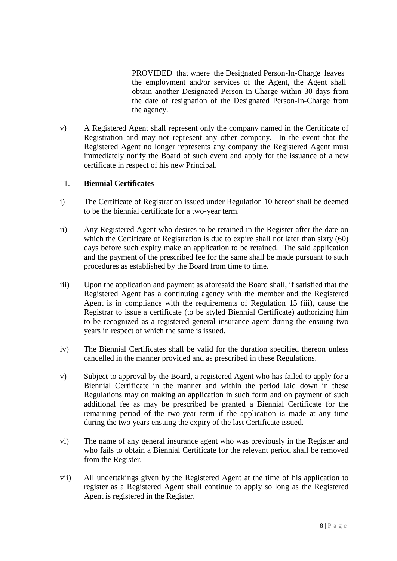PROVIDED that where the Designated Person-In-Charge leaves the employment and/or services of the Agent, the Agent shall obtain another Designated Person-In-Charge within 30 days from the date of resignation of the Designated Person-In-Charge from the agency.

v) A Registered Agent shall represent only the company named in the Certificate of Registration and may not represent any other company. In the event that the Registered Agent no longer represents any company the Registered Agent must immediately notify the Board of such event and apply for the issuance of a new certificate in respect of his new Principal.

## 11. **Biennial Certificates**

- i) The Certificate of Registration issued under Regulation 10 hereof shall be deemed to be the biennial certificate for a two-year term.
- ii) Any Registered Agent who desires to be retained in the Register after the date on which the Certificate of Registration is due to expire shall not later than sixty (60) days before such expiry make an application to be retained. The said application and the payment of the prescribed fee for the same shall be made pursuant to such procedures as established by the Board from time to time.
- iii) Upon the application and payment as aforesaid the Board shall, if satisfied that the Registered Agent has a continuing agency with the member and the Registered Agent is in compliance with the requirements of Regulation 15 (iii), cause the Registrar to issue a certificate (to be styled Biennial Certificate) authorizing him to be recognized as a registered general insurance agent during the ensuing two years in respect of which the same is issued.
- iv) The Biennial Certificates shall be valid for the duration specified thereon unless cancelled in the manner provided and as prescribed in these Regulations.
- v) Subject to approval by the Board, a registered Agent who has failed to apply for a Biennial Certificate in the manner and within the period laid down in these Regulations may on making an application in such form and on payment of such additional fee as may be prescribed be granted a Biennial Certificate for the remaining period of the two-year term if the application is made at any time during the two years ensuing the expiry of the last Certificate issued.
- vi) The name of any general insurance agent who was previously in the Register and who fails to obtain a Biennial Certificate for the relevant period shall be removed from the Register.
- vii) All undertakings given by the Registered Agent at the time of his application to register as a Registered Agent shall continue to apply so long as the Registered Agent is registered in the Register.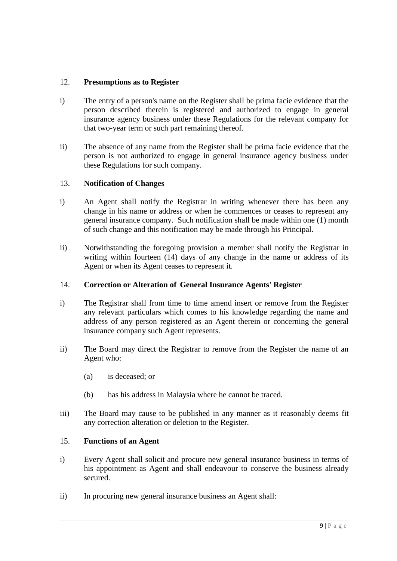## 12. **Presumptions as to Register**

- i) The entry of a person's name on the Register shall be prima facie evidence that the person described therein is registered and authorized to engage in general insurance agency business under these Regulations for the relevant company for that two-year term or such part remaining thereof.
- ii) The absence of any name from the Register shall be prima facie evidence that the person is not authorized to engage in general insurance agency business under these Regulations for such company.

## 13. **Notification of Changes**

- i) An Agent shall notify the Registrar in writing whenever there has been any change in his name or address or when he commences or ceases to represent any general insurance company. Such notification shall be made within one (1) month of such change and this notification may be made through his Principal.
- ii) Notwithstanding the foregoing provision a member shall notify the Registrar in writing within fourteen (14) days of any change in the name or address of its Agent or when its Agent ceases to represent it.

#### 14. **Correction or Alteration of General Insurance Agents' Register**

- i) The Registrar shall from time to time amend insert or remove from the Register any relevant particulars which comes to his knowledge regarding the name and address of any person registered as an Agent therein or concerning the general insurance company such Agent represents.
- ii) The Board may direct the Registrar to remove from the Register the name of an Agent who:
	- (a) is deceased; or
	- (b) has his address in Malaysia where he cannot be traced.
- iii) The Board may cause to be published in any manner as it reasonably deems fit any correction alteration or deletion to the Register.

#### 15. **Functions of an Agent**

- i) Every Agent shall solicit and procure new general insurance business in terms of his appointment as Agent and shall endeavour to conserve the business already secured.
- ii) In procuring new general insurance business an Agent shall: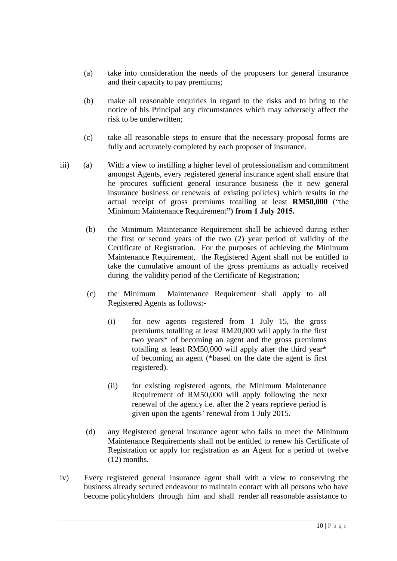- (a) take into consideration the needs of the proposers for general insurance and their capacity to pay premiums;
- (b) make all reasonable enquiries in regard to the risks and to bring to the notice of his Principal any circumstances which may adversely affect the risk to be underwritten;
- (c) take all reasonable steps to ensure that the necessary proposal forms are fully and accurately completed by each proposer of insurance.
- iii) (a) With a view to instilling a higher level of professionalism and commitment amongst Agents, every registered general insurance agent shall ensure that he procures sufficient general insurance business (be it new general insurance business or renewals of existing policies) which results in the actual receipt of gross premiums totalling at least **RM50,000** ("the Minimum Maintenance Requirement**") from 1 July 2015.**
	- (b) the Minimum Maintenance Requirement shall be achieved during either the first or second years of the two (2) year period of validity of the Certificate of Registration. For the purposes of achieving the Minimum Maintenance Requirement, the Registered Agent shall not be entitled to take the cumulative amount of the gross premiums as actually received during the validity period of the Certificate of Registration;
	- (c) the Minimum Maintenance Requirement shall apply to all Registered Agents as follows:-
		- (i) for new agents registered from 1 July 15, the gross premiums totalling at least RM20,000 will apply in the first two years\* of becoming an agent and the gross premiums totalling at least RM50,000 will apply after the third year\* of becoming an agent (\*based on the date the agent is first registered).
		- (ii) for existing registered agents, the Minimum Maintenance Requirement of RM50,000 will apply following the next renewal of the agency i.e. after the 2 years reprieve period is given upon the agents' renewal from 1 July 2015.
	- (d) any Registered general insurance agent who fails to meet the Minimum Maintenance Requirements shall not be entitled to renew his Certificate of Registration or apply for registration as an Agent for a period of twelve (12) months.
- iv) Every registered general insurance agent shall with a view to conserving the business already secured endeavour to maintain contact with all persons who have become policyholders through him and shall render all reasonable assistance to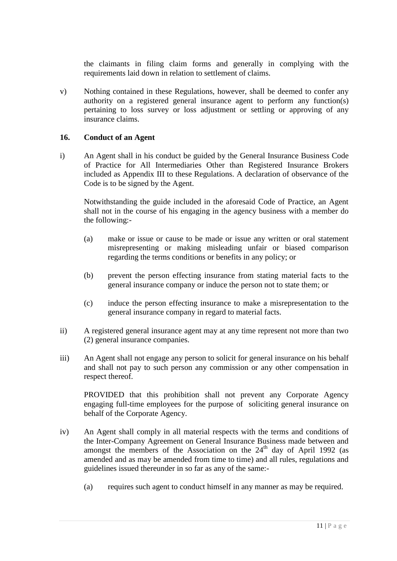the claimants in filing claim forms and generally in complying with the requirements laid down in relation to settlement of claims.

v) Nothing contained in these Regulations, however, shall be deemed to confer any authority on a registered general insurance agent to perform any function(s) pertaining to loss survey or loss adjustment or settling or approving of any insurance claims.

## **16. Conduct of an Agent**

i) An Agent shall in his conduct be guided by the General Insurance Business Code of Practice for All Intermediaries Other than Registered Insurance Brokers included as Appendix III to these Regulations. A declaration of observance of the Code is to be signed by the Agent.

Notwithstanding the guide included in the aforesaid Code of Practice, an Agent shall not in the course of his engaging in the agency business with a member do the following:-

- (a) make or issue or cause to be made or issue any written or oral statement misrepresenting or making misleading unfair or biased comparison regarding the terms conditions or benefits in any policy; or
- (b) prevent the person effecting insurance from stating material facts to the general insurance company or induce the person not to state them; or
- (c) induce the person effecting insurance to make a misrepresentation to the general insurance company in regard to material facts.
- ii) A registered general insurance agent may at any time represent not more than two (2) general insurance companies.
- iii) An Agent shall not engage any person to solicit for general insurance on his behalf and shall not pay to such person any commission or any other compensation in respect thereof.

PROVIDED that this prohibition shall not prevent any Corporate Agency engaging full-time employees for the purpose of soliciting general insurance on behalf of the Corporate Agency.

- iv) An Agent shall comply in all material respects with the terms and conditions of the Inter-Company Agreement on General Insurance Business made between and amongst the members of the Association on the  $24<sup>th</sup>$  day of April 1992 (as amended and as may be amended from time to time) and all rules, regulations and guidelines issued thereunder in so far as any of the same:-
	- (a) requires such agent to conduct himself in any manner as may be required.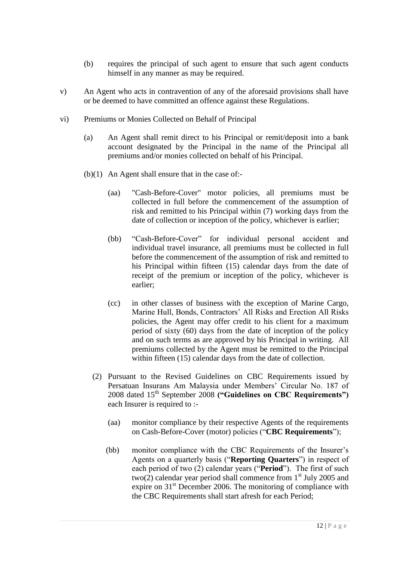- (b) requires the principal of such agent to ensure that such agent conducts himself in any manner as may be required.
- v) An Agent who acts in contravention of any of the aforesaid provisions shall have or be deemed to have committed an offence against these Regulations.
- vi) Premiums or Monies Collected on Behalf of Principal
	- (a) An Agent shall remit direct to his Principal or remit/deposit into a bank account designated by the Principal in the name of the Principal all premiums and/or monies collected on behalf of his Principal.
	- (b)(1) An Agent shall ensure that in the case of:-
		- (aa) "Cash-Before-Cover" motor policies, all premiums must be collected in full before the commencement of the assumption of risk and remitted to his Principal within (7) working days from the date of collection or inception of the policy, whichever is earlier;
		- (bb) "Cash-Before-Cover" for individual personal accident and individual travel insurance, all premiums must be collected in full before the commencement of the assumption of risk and remitted to his Principal within fifteen (15) calendar days from the date of receipt of the premium or inception of the policy, whichever is earlier;
		- (cc) in other classes of business with the exception of Marine Cargo, Marine Hull, Bonds, Contractors' All Risks and Erection All Risks policies, the Agent may offer credit to his client for a maximum period of sixty (60) days from the date of inception of the policy and on such terms as are approved by his Principal in writing. All premiums collected by the Agent must be remitted to the Principal within fifteen (15) calendar days from the date of collection.
		- (2) Pursuant to the Revised Guidelines on CBC Requirements issued by Persatuan Insurans Am Malaysia under Members' Circular No. 187 of 2008 dated 15<sup>th</sup> September 2008 ("Guidelines on CBC Requirements") each Insurer is required to :-
			- (aa) monitor compliance by their respective Agents of the requirements on Cash-Before-Cover (motor) policies ("**CBC Requirements**");
			- (bb) monitor compliance with the CBC Requirements of the Insurer's Agents on a quarterly basis ("**Reporting Quarters**") in respect of each period of two (2) calendar years ("**Period**"). The first of such two(2) calendar year period shall commence from  $1<sup>st</sup>$  July 2005 and expire on  $31<sup>st</sup>$  December 2006. The monitoring of compliance with the CBC Requirements shall start afresh for each Period;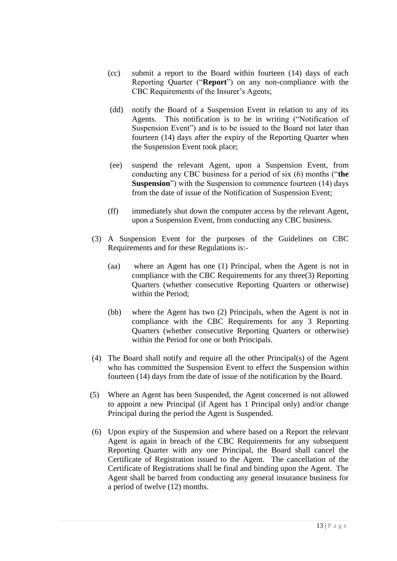- (cc) submit a report to the Board within fourteen (14) days of each Reporting Quarter ("**Report**") on any non-compliance with the CBC Requirements of the Insurer's Agents;
- (dd) notify the Board of a Suspension Event in relation to any of its Agents. This notification is to be in writing ("Notification of Suspension Event") and is to be issued to the Board not later than fourteen (14) days after the expiry of the Reporting Quarter when the Suspension Event took place;
- (ee) suspend the relevant Agent, upon a Suspension Event, from conducting any CBC business for a period of six (6) months ("**the Suspension**") with the Suspension to commence fourteen (14) days from the date of issue of the Notification of Suspension Event;
- (ff) immediately shut down the computer access by the relevant Agent, upon a Suspension Event, from conducting any CBC business.
- (3) A Suspension Event for the purposes of the Guidelines on CBC Requirements and for these Regulations is:-
	- (aa) where an Agent has one (1) Principal, when the Agent is not in compliance with the CBC Requirements for any three(3) Reporting Quarters (whether consecutive Reporting Quarters or otherwise) within the Period;
	- (bb) where the Agent has two (2) Principals, when the Agent is not in compliance with the CBC Requirements for any 3 Reporting Quarters (whether consecutive Reporting Quarters or otherwise) within the Period for one or both Principals.
- (4) The Board shall notify and require all the other Principal(s) of the Agent who has committed the Suspension Event to effect the Suspension within fourteen (14) days from the date of issue of the notification by the Board.
- (5) Where an Agent has been Suspended, the Agent concerned is not allowed to appoint a new Principal (if Agent has 1 Principal only) and/or change Principal during the period the Agent is Suspended.
- (6) Upon expiry of the Suspension and where based on a Report the relevant Agent is again in breach of the CBC Requirements for any subsequent Reporting Quarter with any one Principal, the Board shall cancel the Certificate of Registration issued to the Agent. The cancellation of the Certificate of Registrations shall be final and binding upon the Agent. The Agent shall be barred from conducting any general insurance business for a period of twelve (12) months.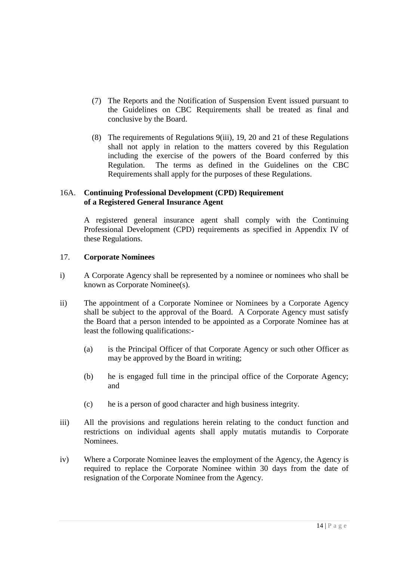- (7) The Reports and the Notification of Suspension Event issued pursuant to the Guidelines on CBC Requirements shall be treated as final and conclusive by the Board.
- (8) The requirements of Regulations 9(iii), 19, 20 and 21 of these Regulations shall not apply in relation to the matters covered by this Regulation including the exercise of the powers of the Board conferred by this Regulation. The terms as defined in the Guidelines on the CBC Requirements shall apply for the purposes of these Regulations.

## 16A. **Continuing Professional Development (CPD) Requirement of a Registered General Insurance Agent**

A registered general insurance agent shall comply with the Continuing Professional Development (CPD) requirements as specified in Appendix IV of these Regulations.

## 17. **Corporate Nominees**

- i) A Corporate Agency shall be represented by a nominee or nominees who shall be known as Corporate Nominee(s).
- ii) The appointment of a Corporate Nominee or Nominees by a Corporate Agency shall be subject to the approval of the Board. A Corporate Agency must satisfy the Board that a person intended to be appointed as a Corporate Nominee has at least the following qualifications:-
	- (a) is the Principal Officer of that Corporate Agency or such other Officer as may be approved by the Board in writing;
	- (b) he is engaged full time in the principal office of the Corporate Agency; and
	- (c) he is a person of good character and high business integrity.
- iii) All the provisions and regulations herein relating to the conduct function and restrictions on individual agents shall apply mutatis mutandis to Corporate Nominees.
- iv) Where a Corporate Nominee leaves the employment of the Agency, the Agency is required to replace the Corporate Nominee within 30 days from the date of resignation of the Corporate Nominee from the Agency.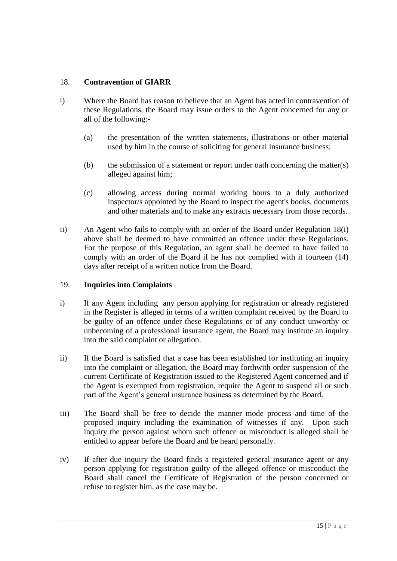# 18. **Contravention of GIARR**

- i) Where the Board has reason to believe that an Agent has acted in contravention of these Regulations, the Board may issue orders to the Agent concerned for any or all of the following:-
	- (a) the presentation of the written statements, illustrations or other material used by him in the course of soliciting for general insurance business;
	- (b) the submission of a statement or report under oath concerning the matter(s) alleged against him;
	- (c) allowing access during normal working hours to a duly authorized inspector/s appointed by the Board to inspect the agent's books, documents and other materials and to make any extracts necessary from those records.
- ii) An Agent who fails to comply with an order of the Board under Regulation 18(i) above shall be deemed to have committed an offence under these Regulations. For the purpose of this Regulation, an agent shall be deemed to have failed to comply with an order of the Board if he has not complied with it fourteen (14) days after receipt of a written notice from the Board.

#### 19. **Inquiries into Complaints**

- i) If any Agent including any person applying for registration or already registered in the Register is alleged in terms of a written complaint received by the Board to be guilty of an offence under these Regulations or of any conduct unworthy or unbecoming of a professional insurance agent, the Board may institute an inquiry into the said complaint or allegation.
- ii) If the Board is satisfied that a case has been established for instituting an inquiry into the complaint or allegation, the Board may forthwith order suspension of the current Certificate of Registration issued to the Registered Agent concerned and if the Agent is exempted from registration, require the Agent to suspend all or such part of the Agent's general insurance business as determined by the Board.
- iii) The Board shall be free to decide the manner mode process and time of the proposed inquiry including the examination of witnesses if any. Upon such inquiry the person against whom such offence or misconduct is alleged shall be entitled to appear before the Board and be heard personally.
- iv) If after due inquiry the Board finds a registered general insurance agent or any person applying for registration guilty of the alleged offence or misconduct the Board shall cancel the Certificate of Registration of the person concerned or refuse to register him, as the case may be.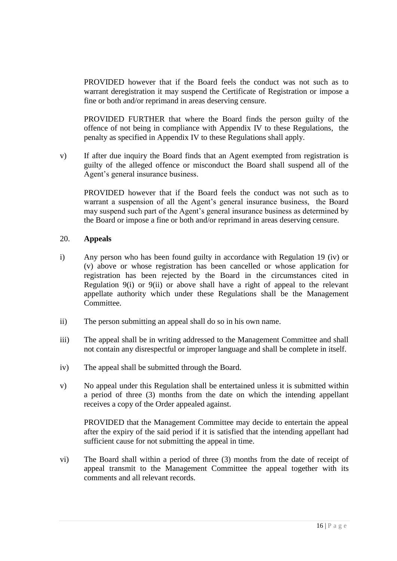PROVIDED however that if the Board feels the conduct was not such as to warrant deregistration it may suspend the Certificate of Registration or impose a fine or both and/or reprimand in areas deserving censure.

PROVIDED FURTHER that where the Board finds the person guilty of the offence of not being in compliance with Appendix IV to these Regulations, the penalty as specified in Appendix IV to these Regulations shall apply.

v) If after due inquiry the Board finds that an Agent exempted from registration is guilty of the alleged offence or misconduct the Board shall suspend all of the Agent's general insurance business.

PROVIDED however that if the Board feels the conduct was not such as to warrant a suspension of all the Agent's general insurance business, the Board may suspend such part of the Agent's general insurance business as determined by the Board or impose a fine or both and/or reprimand in areas deserving censure.

#### 20. **Appeals**

- i) Any person who has been found guilty in accordance with Regulation 19 (iv) or (v) above or whose registration has been cancelled or whose application for registration has been rejected by the Board in the circumstances cited in Regulation 9(i) or 9(ii) or above shall have a right of appeal to the relevant appellate authority which under these Regulations shall be the Management Committee.
- ii) The person submitting an appeal shall do so in his own name.
- iii) The appeal shall be in writing addressed to the Management Committee and shall not contain any disrespectful or improper language and shall be complete in itself.
- iv) The appeal shall be submitted through the Board.
- v) No appeal under this Regulation shall be entertained unless it is submitted within a period of three (3) months from the date on which the intending appellant receives a copy of the Order appealed against.

PROVIDED that the Management Committee may decide to entertain the appeal after the expiry of the said period if it is satisfied that the intending appellant had sufficient cause for not submitting the appeal in time.

vi) The Board shall within a period of three (3) months from the date of receipt of appeal transmit to the Management Committee the appeal together with its comments and all relevant records.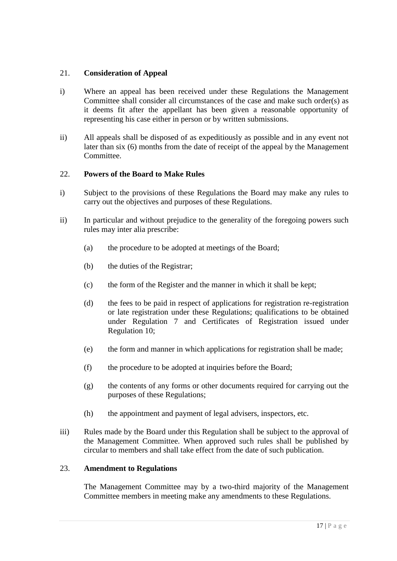# 21. **Consideration of Appeal**

- i) Where an appeal has been received under these Regulations the Management Committee shall consider all circumstances of the case and make such order(s) as it deems fit after the appellant has been given a reasonable opportunity of representing his case either in person or by written submissions.
- ii) All appeals shall be disposed of as expeditiously as possible and in any event not later than six (6) months from the date of receipt of the appeal by the Management Committee.

# 22. **Powers of the Board to Make Rules**

- i) Subject to the provisions of these Regulations the Board may make any rules to carry out the objectives and purposes of these Regulations.
- ii) In particular and without prejudice to the generality of the foregoing powers such rules may inter alia prescribe:
	- (a) the procedure to be adopted at meetings of the Board;
	- (b) the duties of the Registrar;
	- (c) the form of the Register and the manner in which it shall be kept;
	- (d) the fees to be paid in respect of applications for registration re-registration or late registration under these Regulations; qualifications to be obtained under Regulation 7 and Certificates of Registration issued under Regulation 10;
	- (e) the form and manner in which applications for registration shall be made;
	- (f) the procedure to be adopted at inquiries before the Board;
	- (g) the contents of any forms or other documents required for carrying out the purposes of these Regulations;
	- (h) the appointment and payment of legal advisers, inspectors, etc.
- iii) Rules made by the Board under this Regulation shall be subject to the approval of the Management Committee. When approved such rules shall be published by circular to members and shall take effect from the date of such publication.

#### 23. **Amendment to Regulations**

The Management Committee may by a two-third majority of the Management Committee members in meeting make any amendments to these Regulations.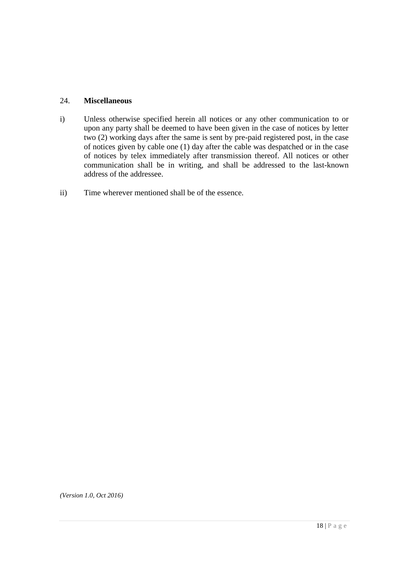# 24. **Miscellaneous**

- i) Unless otherwise specified herein all notices or any other communication to or upon any party shall be deemed to have been given in the case of notices by letter two (2) working days after the same is sent by pre-paid registered post, in the case of notices given by cable one (1) day after the cable was despatched or in the case of notices by telex immediately after transmission thereof. All notices or other communication shall be in writing, and shall be addressed to the last-known address of the addressee.
- ii) Time wherever mentioned shall be of the essence.

*(Version 1.0, Oct 2016)*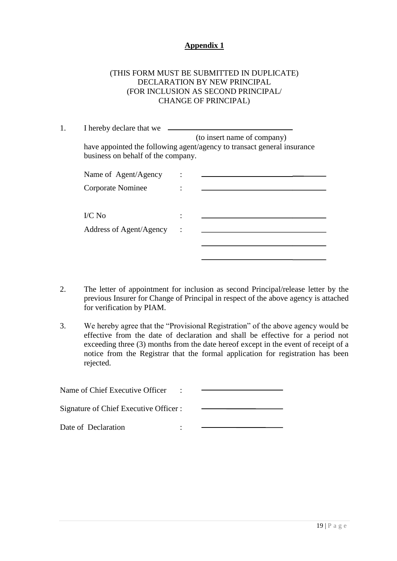## **Appendix 1**

# (THIS FORM MUST BE SUBMITTED IN DUPLICATE) DECLARATION BY NEW PRINCIPAL (FOR INCLUSION AS SECOND PRINCIPAL/ CHANGE OF PRINCIPAL)

- 1. I hereby declare that we (to insert name of company) have appointed the following agent/agency to transact general insurance business on behalf of the company. Name of Agent/Agency : Corporate Nominee :  $I/C$  No  $\qquad \qquad :$ Address of Agent/Agency :
- 2. The letter of appointment for inclusion as second Principal/release letter by the previous Insurer for Change of Principal in respect of the above agency is attached for verification by PIAM.
- 3. We hereby agree that the "Provisional Registration" of the above agency would be effective from the date of declaration and shall be effective for a period not exceeding three (3) months from the date hereof except in the event of receipt of a notice from the Registrar that the formal application for registration has been rejected.

| Name of Chief Executive Officer        |  |
|----------------------------------------|--|
| Signature of Chief Executive Officer : |  |

Date of Declaration :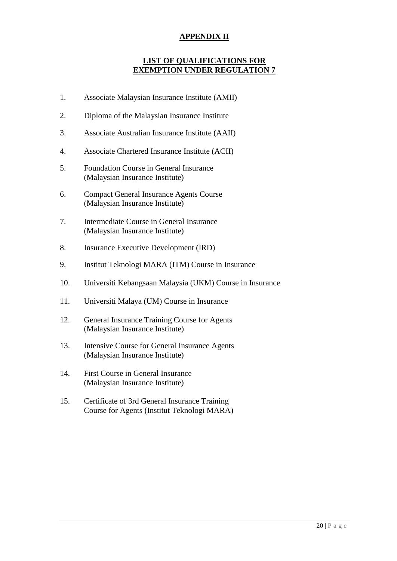# **APPENDIX II**

# **LIST OF QUALIFICATIONS FOR EXEMPTION UNDER REGULATION 7**

- 1. Associate Malaysian Insurance Institute (AMII)
- 2. Diploma of the Malaysian Insurance Institute
- 3. Associate Australian Insurance Institute (AAII)
- 4. Associate Chartered Insurance Institute (ACII)
- 5. Foundation Course in General Insurance (Malaysian Insurance Institute)
- 6. Compact General Insurance Agents Course (Malaysian Insurance Institute)
- 7. Intermediate Course in General Insurance (Malaysian Insurance Institute)
- 8. Insurance Executive Development (IRD)
- 9. Institut Teknologi MARA (ITM) Course in Insurance
- 10. Universiti Kebangsaan Malaysia (UKM) Course in Insurance
- 11. Universiti Malaya (UM) Course in Insurance
- 12. General Insurance Training Course for Agents (Malaysian Insurance Institute)
- 13. Intensive Course for General Insurance Agents (Malaysian Insurance Institute)
- 14. First Course in General Insurance (Malaysian Insurance Institute)
- 15. Certificate of 3rd General Insurance Training Course for Agents (Institut Teknologi MARA)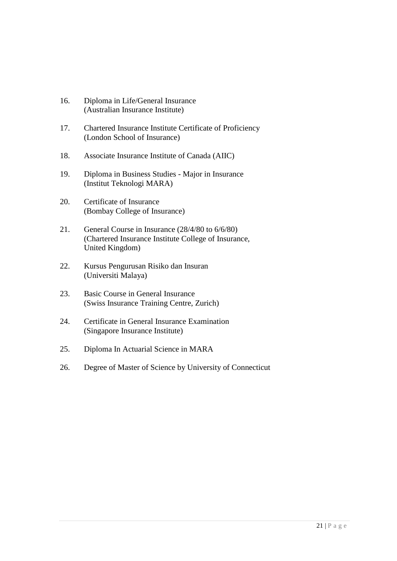- 16. Diploma in Life/General Insurance (Australian Insurance Institute)
- 17. Chartered Insurance Institute Certificate of Proficiency (London School of Insurance)
- 18. Associate Insurance Institute of Canada (AIIC)
- 19. Diploma in Business Studies Major in Insurance (Institut Teknologi MARA)
- 20. Certificate of Insurance (Bombay College of Insurance)
- 21. General Course in Insurance (28/4/80 to 6/6/80) (Chartered Insurance Institute College of Insurance, United Kingdom)
- 22. Kursus Pengurusan Risiko dan Insuran (Universiti Malaya)
- 23. Basic Course in General Insurance (Swiss Insurance Training Centre, Zurich)
- 24. Certificate in General Insurance Examination (Singapore Insurance Institute)
- 25. Diploma In Actuarial Science in MARA
- 26. Degree of Master of Science by University of Connecticut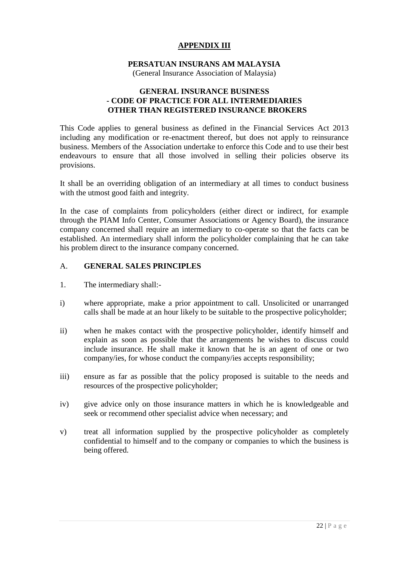#### **APPENDIX III**

# **PERSATUAN INSURANS AM MALAYSIA**

(General Insurance Association of Malaysia)

## **GENERAL INSURANCE BUSINESS - CODE OF PRACTICE FOR ALL INTERMEDIARIES OTHER THAN REGISTERED INSURANCE BROKERS**

This Code applies to general business as defined in the Financial Services Act 2013 including any modification or re-enactment thereof, but does not apply to reinsurance business. Members of the Association undertake to enforce this Code and to use their best endeavours to ensure that all those involved in selling their policies observe its provisions.

It shall be an overriding obligation of an intermediary at all times to conduct business with the utmost good faith and integrity.

In the case of complaints from policyholders (either direct or indirect, for example through the PIAM Info Center, Consumer Associations or Agency Board), the insurance company concerned shall require an intermediary to co-operate so that the facts can be established. An intermediary shall inform the policyholder complaining that he can take his problem direct to the insurance company concerned.

## A. **GENERAL SALES PRINCIPLES**

- 1. The intermediary shall:-
- i) where appropriate, make a prior appointment to call. Unsolicited or unarranged calls shall be made at an hour likely to be suitable to the prospective policyholder;
- ii) when he makes contact with the prospective policyholder, identify himself and explain as soon as possible that the arrangements he wishes to discuss could include insurance. He shall make it known that he is an agent of one or two company/ies, for whose conduct the company/ies accepts responsibility;
- iii) ensure as far as possible that the policy proposed is suitable to the needs and resources of the prospective policyholder;
- iv) give advice only on those insurance matters in which he is knowledgeable and seek or recommend other specialist advice when necessary; and
- v) treat all information supplied by the prospective policyholder as completely confidential to himself and to the company or companies to which the business is being offered.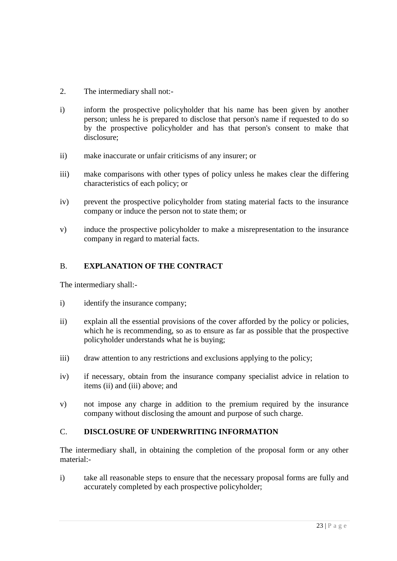- 2. The intermediary shall not:-
- i) inform the prospective policyholder that his name has been given by another person; unless he is prepared to disclose that person's name if requested to do so by the prospective policyholder and has that person's consent to make that disclosure;
- ii) make inaccurate or unfair criticisms of any insurer; or
- iii) make comparisons with other types of policy unless he makes clear the differing characteristics of each policy; or
- iv) prevent the prospective policyholder from stating material facts to the insurance company or induce the person not to state them; or
- v) induce the prospective policyholder to make a misrepresentation to the insurance company in regard to material facts.

# B. **EXPLANATION OF THE CONTRACT**

The intermediary shall:-

- i) identify the insurance company;
- ii) explain all the essential provisions of the cover afforded by the policy or policies, which he is recommending, so as to ensure as far as possible that the prospective policyholder understands what he is buying;
- iii) draw attention to any restrictions and exclusions applying to the policy;
- iv) if necessary, obtain from the insurance company specialist advice in relation to items (ii) and (iii) above; and
- v) not impose any charge in addition to the premium required by the insurance company without disclosing the amount and purpose of such charge.

# C. **DISCLOSURE OF UNDERWRITING INFORMATION**

The intermediary shall, in obtaining the completion of the proposal form or any other material:-

i) take all reasonable steps to ensure that the necessary proposal forms are fully and accurately completed by each prospective policyholder;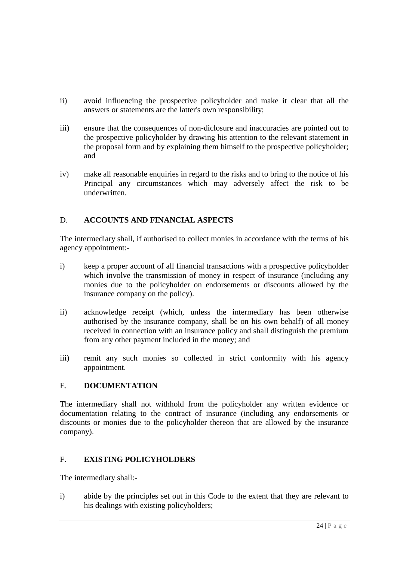- ii) avoid influencing the prospective policyholder and make it clear that all the answers or statements are the latter's own responsibility;
- iii) ensure that the consequences of non-diclosure and inaccuracies are pointed out to the prospective policyholder by drawing his attention to the relevant statement in the proposal form and by explaining them himself to the prospective policyholder; and
- iv) make all reasonable enquiries in regard to the risks and to bring to the notice of his Principal any circumstances which may adversely affect the risk to be underwritten.

# D. **ACCOUNTS AND FINANCIAL ASPECTS**

The intermediary shall, if authorised to collect monies in accordance with the terms of his agency appointment:-

- i) keep a proper account of all financial transactions with a prospective policyholder which involve the transmission of money in respect of insurance (including any monies due to the policyholder on endorsements or discounts allowed by the insurance company on the policy).
- ii) acknowledge receipt (which, unless the intermediary has been otherwise authorised by the insurance company, shall be on his own behalf) of all money received in connection with an insurance policy and shall distinguish the premium from any other payment included in the money; and
- iii) remit any such monies so collected in strict conformity with his agency appointment.

# E. **DOCUMENTATION**

The intermediary shall not withhold from the policyholder any written evidence or documentation relating to the contract of insurance (including any endorsements or discounts or monies due to the policyholder thereon that are allowed by the insurance company).

# F. **EXISTING POLICYHOLDERS**

The intermediary shall:-

i) abide by the principles set out in this Code to the extent that they are relevant to his dealings with existing policyholders;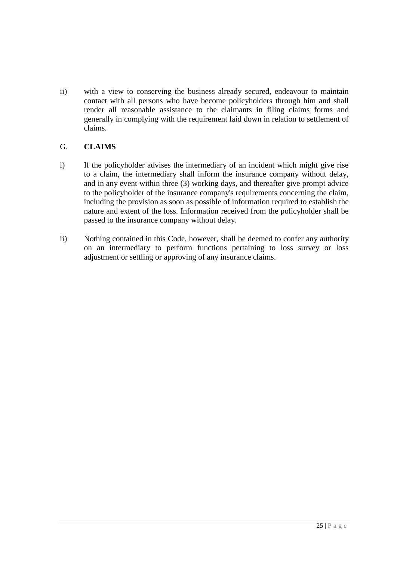ii) with a view to conserving the business already secured, endeavour to maintain contact with all persons who have become policyholders through him and shall render all reasonable assistance to the claimants in filing claims forms and generally in complying with the requirement laid down in relation to settlement of claims.

# G. **CLAIMS**

- i) If the policyholder advises the intermediary of an incident which might give rise to a claim, the intermediary shall inform the insurance company without delay, and in any event within three (3) working days, and thereafter give prompt advice to the policyholder of the insurance company's requirements concerning the claim, including the provision as soon as possible of information required to establish the nature and extent of the loss. Information received from the policyholder shall be passed to the insurance company without delay.
- ii) Nothing contained in this Code, however, shall be deemed to confer any authority on an intermediary to perform functions pertaining to loss survey or loss adjustment or settling or approving of any insurance claims.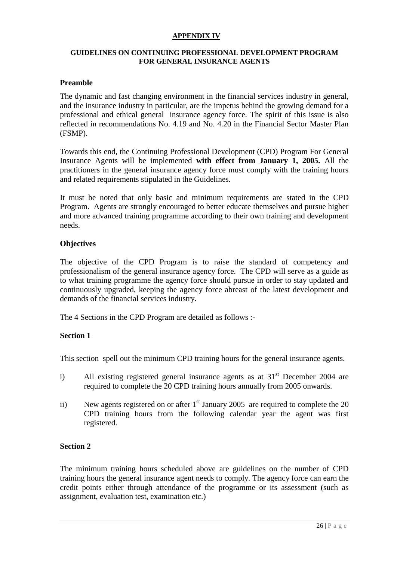#### **APPENDIX IV**

#### **GUIDELINES ON CONTINUING PROFESSIONAL DEVELOPMENT PROGRAM FOR GENERAL INSURANCE AGENTS**

#### **Preamble**

The dynamic and fast changing environment in the financial services industry in general, and the insurance industry in particular, are the impetus behind the growing demand for a professional and ethical general insurance agency force. The spirit of this issue is also reflected in recommendations No. 4.19 and No. 4.20 in the Financial Sector Master Plan (FSMP).

Towards this end, the Continuing Professional Development (CPD) Program For General Insurance Agents will be implemented **with effect from January 1, 2005.** All the practitioners in the general insurance agency force must comply with the training hours and related requirements stipulated in the Guidelines.

It must be noted that only basic and minimum requirements are stated in the CPD Program. Agents are strongly encouraged to better educate themselves and pursue higher and more advanced training programme according to their own training and development needs.

## **Objectives**

The objective of the CPD Program is to raise the standard of competency and professionalism of the general insurance agency force. The CPD will serve as a guide as to what training programme the agency force should pursue in order to stay updated and continuously upgraded, keeping the agency force abreast of the latest development and demands of the financial services industry.

The 4 Sections in the CPD Program are detailed as follows :-

#### **Section 1**

This section spell out the minimum CPD training hours for the general insurance agents.

- i) All existing registered general insurance agents as at  $31<sup>st</sup>$  December 2004 are required to complete the 20 CPD training hours annually from 2005 onwards.
- ii) New agents registered on or after  $1<sup>st</sup>$  January 2005 are required to complete the 20 CPD training hours from the following calendar year the agent was first registered.

# **Section 2**

The minimum training hours scheduled above are guidelines on the number of CPD training hours the general insurance agent needs to comply. The agency force can earn the credit points either through attendance of the programme or its assessment (such as assignment, evaluation test, examination etc.)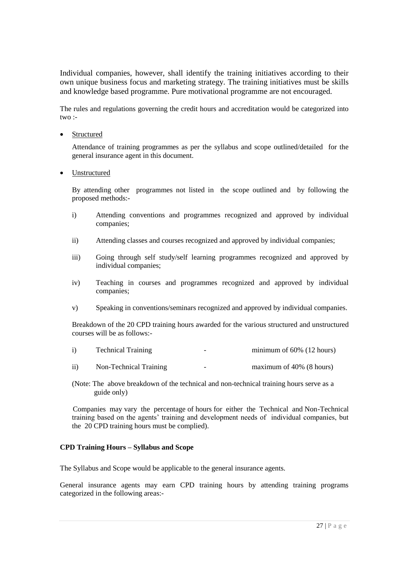Individual companies, however, shall identify the training initiatives according to their own unique business focus and marketing strategy. The training initiatives must be skills and knowledge based programme. Pure motivational programme are not encouraged.

The rules and regulations governing the credit hours and accreditation would be categorized into two :-

• Structured

Attendance of training programmes as per the syllabus and scope outlined/detailed for the general insurance agent in this document.

• Unstructured

By attending other programmes not listed in the scope outlined and by following the proposed methods:-

- i) Attending conventions and programmes recognized and approved by individual companies;
- ii) Attending classes and courses recognized and approved by individual companies;
- iii) Going through self study/self learning programmes recognized and approved by individual companies;
- iv) Teaching in courses and programmes recognized and approved by individual companies;
- v) Speaking in conventions/seminars recognized and approved by individual companies.

Breakdown of the 20 CPD training hours awarded for the various structured and unstructured courses will be as follows:-

| <b>Technical Training</b> | - | minimum of $60\%$ (12 hours) |
|---------------------------|---|------------------------------|
|                           |   |                              |

- ii) Non-Technical Training maximum of 40% (8 hours)
- (Note: The above breakdown of the technical and non-technical training hours serve as a guide only)

 Companies may vary the percentage of hours for either the Technical and Non-Technical training based on the agents' training and development needs of individual companies, but the 20 CPD training hours must be complied).

#### **CPD Training Hours – Syllabus and Scope**

The Syllabus and Scope would be applicable to the general insurance agents.

General insurance agents may earn CPD training hours by attending training programs categorized in the following areas:-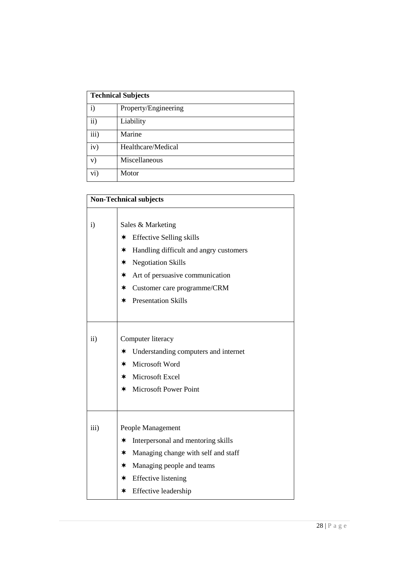| <b>Technical Subjects</b> |                      |
|---------------------------|----------------------|
| $\mathbf{i}$              | Property/Engineering |
| $\mathbf{ii}$             | Liability            |
| iii)                      | Marine               |
| iv)                       | Healthcare/Medical   |
| V)                        | Miscellaneous        |
| $\overline{\text{vi}}$    | Motor                |

| <b>Non-Technical subjects</b> |                                                                                                                                                                                                                                               |
|-------------------------------|-----------------------------------------------------------------------------------------------------------------------------------------------------------------------------------------------------------------------------------------------|
| $\mathbf{i}$                  | Sales & Marketing<br><b>Effective Selling skills</b><br>∗<br>* Handling difficult and angry customers<br>* Negotiation Skills<br>Art of persuasive communication<br>∗<br>Customer care programme/CRM<br>∗<br><b>Presentation Skills</b><br>★. |
| $\rm ii)$                     | Computer literacy<br>Understanding computers and internet<br>∗<br>* Microsoft Word<br>* Microsoft Excel<br><b>Microsoft Power Point</b><br>★.                                                                                                 |
| iii)                          | People Management<br>Interpersonal and mentoring skills<br>∗<br>Managing change with self and staff<br>∗<br>* Managing people and teams<br>* Effective listening<br>* Effective leadership                                                    |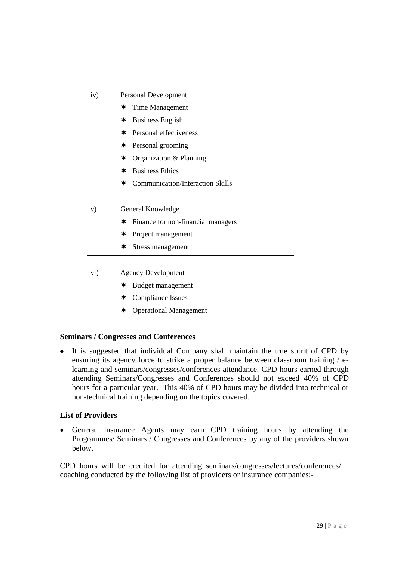| iv)       | <b>Personal Development</b>                   |  |
|-----------|-----------------------------------------------|--|
|           | Time Management<br>∗                          |  |
|           | <b>Business English</b><br>$\ast$             |  |
|           | Personal effectiveness<br>$\ast$              |  |
|           | Personal grooming<br>∗                        |  |
|           | Organization & Planning<br>∗                  |  |
|           | <b>Business Ethics</b><br>∗                   |  |
|           | <b>Communication/Interaction Skills</b><br>∗  |  |
|           |                                               |  |
| V)        | General Knowledge                             |  |
|           | Finance for non-financial managers<br>$\star$ |  |
|           | Project management<br>$\ast$                  |  |
|           | ∗<br>Stress management                        |  |
|           |                                               |  |
| $\rm vi)$ | <b>Agency Development</b>                     |  |
|           | Budget management<br>∗                        |  |
|           | <b>Compliance Issues</b><br>∗                 |  |
|           | <b>Operational Management</b><br>∗            |  |

# **Seminars / Congresses and Conferences**

 It is suggested that individual Company shall maintain the true spirit of CPD by ensuring its agency force to strike a proper balance between classroom training / elearning and seminars/congresses/conferences attendance. CPD hours earned through attending Seminars/Congresses and Conferences should not exceed 40% of CPD hours for a particular year. This 40% of CPD hours may be divided into technical or non-technical training depending on the topics covered.

# **List of Providers**

 General Insurance Agents may earn CPD training hours by attending the Programmes/ Seminars / Congresses and Conferences by any of the providers shown below.

CPD hours will be credited for attending seminars/congresses/lectures/conferences/ coaching conducted by the following list of providers or insurance companies:-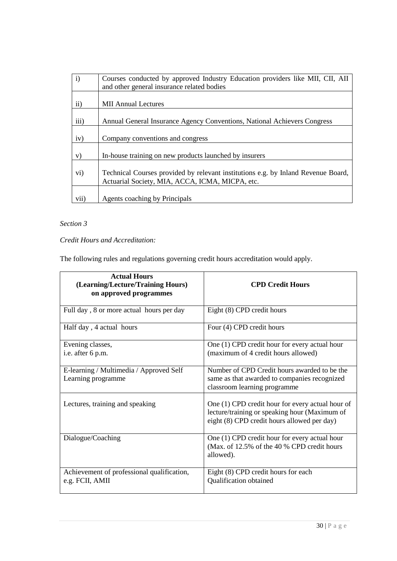| $\mathbf{i}$  | Courses conducted by approved Industry Education providers like MII, CII, AII<br>and other general insurance related bodies          |
|---------------|--------------------------------------------------------------------------------------------------------------------------------------|
| $\mathbf{ii}$ | <b>MII Annual Lectures</b>                                                                                                           |
| iii)          | Annual General Insurance Agency Conventions, National Achievers Congress                                                             |
| iv)           | Company conventions and congress                                                                                                     |
| V)            | In-house training on new products launched by insurers                                                                               |
| $\rm vi)$     | Technical Courses provided by relevant institutions e.g. by Inland Revenue Board,<br>Actuarial Society, MIA, ACCA, ICMA, MICPA, etc. |
| vii)          | Agents coaching by Principals                                                                                                        |

# *Section 3*

*Credit Hours and Accreditation:*

The following rules and regulations governing credit hours accreditation would apply.

| <b>Actual Hours</b><br>(Learning/Lecture/Training Hours)<br>on approved programmes | <b>CPD Credit Hours</b>                                                                                                                          |
|------------------------------------------------------------------------------------|--------------------------------------------------------------------------------------------------------------------------------------------------|
| Full day, 8 or more actual hours per day                                           | Eight (8) CPD credit hours                                                                                                                       |
| Half day, 4 actual hours                                                           | Four (4) CPD credit hours                                                                                                                        |
| Evening classes,<br>i.e. after 6 p.m.                                              | One (1) CPD credit hour for every actual hour<br>(maximum of 4 credit hours allowed)                                                             |
| E-learning / Multimedia / Approved Self<br>Learning programme                      | Number of CPD Credit hours awarded to be the<br>same as that awarded to companies recognized<br>classroom learning programme                     |
| Lectures, training and speaking                                                    | One (1) CPD credit hour for every actual hour of<br>lecture/training or speaking hour (Maximum of<br>eight (8) CPD credit hours allowed per day) |
| Dialogue/Coaching                                                                  | One (1) CPD credit hour for every actual hour<br>(Max. of 12.5% of the 40 % CPD credit hours<br>allowed).                                        |
| Achievement of professional qualification,<br>e.g. FCII, AMII                      | Eight (8) CPD credit hours for each<br>Qualification obtained                                                                                    |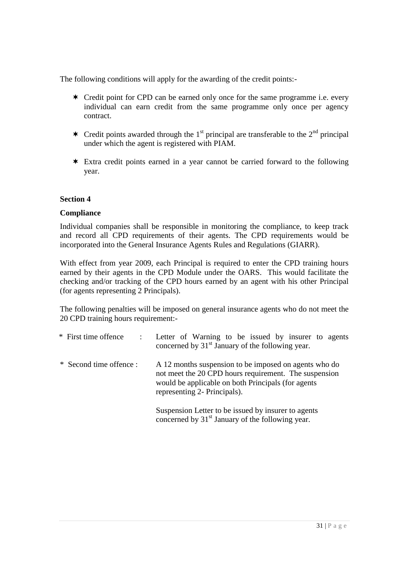The following conditions will apply for the awarding of the credit points:-

- \* Credit point for CPD can be earned only once for the same programme i.e. every individual can earn credit from the same programme only once per agency contract.
- **\*** Credit points awarded through the  $1<sup>st</sup>$  principal are transferable to the  $2<sup>nd</sup>$  principal under which the agent is registered with PIAM.
- Extra credit points earned in a year cannot be carried forward to the following year.

## **Section 4**

## **Compliance**

Individual companies shall be responsible in monitoring the compliance, to keep track and record all CPD requirements of their agents. The CPD requirements would be incorporated into the General Insurance Agents Rules and Regulations (GIARR).

With effect from year 2009, each Principal is required to enter the CPD training hours earned by their agents in the CPD Module under the OARS. This would facilitate the checking and/or tracking of the CPD hours earned by an agent with his other Principal (for agents representing 2 Principals).

The following penalties will be imposed on general insurance agents who do not meet the 20 CPD training hours requirement:-

| * First time offence :  | Letter of Warning to be issued by insurer to agents<br>concerned by 31 <sup>st</sup> January of the following year.                                                                                   |
|-------------------------|-------------------------------------------------------------------------------------------------------------------------------------------------------------------------------------------------------|
| * Second time offence : | A 12 months suspension to be imposed on agents who do<br>not meet the 20 CPD hours requirement. The suspension<br>would be applicable on both Principals (for agents)<br>representing 2- Principals). |
|                         | Suspension Letter to be issued by insurer to agents<br>concerned by 31 <sup>st</sup> January of the following year.                                                                                   |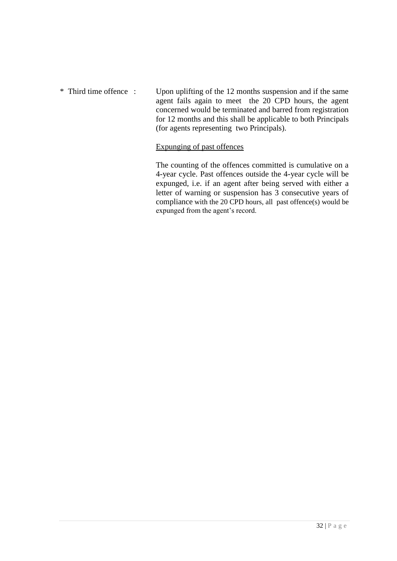\* Third time offence : Upon uplifting of the 12 months suspension and if the same agent fails again to meet the 20 CPD hours, the agent concerned would be terminated and barred from registration for 12 months and this shall be applicable to both Principals (for agents representing two Principals).

#### Expunging of past offences

The counting of the offences committed is cumulative on a 4-year cycle. Past offences outside the 4-year cycle will be expunged, i.e. if an agent after being served with either a letter of warning or suspension has 3 consecutive years of compliance with the 20 CPD hours, all past offence(s) would be expunged from the agent's record.